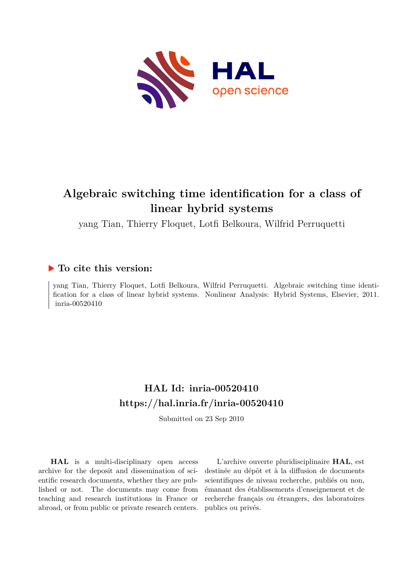

# **Algebraic switching time identification for a class of linear hybrid systems**

yang Tian, Thierry Floquet, Lotfi Belkoura, Wilfrid Perruquetti

# **To cite this version:**

yang Tian, Thierry Floquet, Lotfi Belkoura, Wilfrid Perruquetti. Algebraic switching time identification for a class of linear hybrid systems. Nonlinear Analysis: Hybrid Systems, Elsevier, 2011. inria-00520410

# **HAL Id: inria-00520410 <https://hal.inria.fr/inria-00520410>**

Submitted on 23 Sep 2010

**HAL** is a multi-disciplinary open access archive for the deposit and dissemination of scientific research documents, whether they are published or not. The documents may come from teaching and research institutions in France or abroad, or from public or private research centers.

L'archive ouverte pluridisciplinaire **HAL**, est destinée au dépôt et à la diffusion de documents scientifiques de niveau recherche, publiés ou non, émanant des établissements d'enseignement et de recherche français ou étrangers, des laboratoires publics ou privés.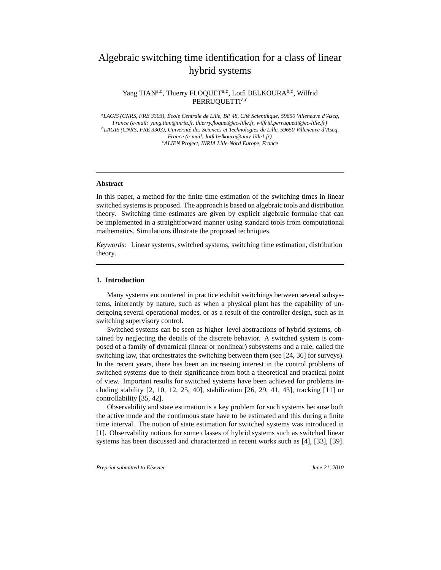## Algebraic switching time identification for a class of linear hybrid systems

Yang TIAN<sup>a,c</sup>, Thierry FLOQUET<sup>a,c</sup>, Lotfi BELKOURA<sup>b,c</sup>, Wilfrid PERRUQUETTIa,c

*<sup>a</sup>LAGIS (CNRS, FRE 3303), Ecole Centrale de Lille, BP 48, Cit´e Scientifique, 59650 Vil ´ leneuve d'Ascq, France (e-mail: yang.tian@inria.fr, thierry.floquet@ec-lille.fr, wilfrid.perruquetti@ec-lille.fr) <sup>b</sup>LAGIS (CNRS, FRE 3303), Universit´e des Sciences et Technologies de Lille, 59650 Villeneuve d'Ascq, France (e-mail: lotfi.belkoura@univ-lille1.fr) <sup>c</sup>ALIEN Project, INRIA Lille-Nord Europe, France*

#### **Abstract**

In this paper, a method for the finite time estimation of the switching times in linear switched systems is proposed. The approach is based on algebraic tools and distribution theory. Switching time estimates are given by explicit algebraic formulae that can be implemented in a straightforward manner using standard tools from computational mathematics. Simulations illustrate the proposed techniques.

*Keywords:* Linear systems, switched systems, switching time estimation, distribution theory.

#### **1. Introduction**

Many systems encountered in practice exhibit switchings between several subsystems, inherently by nature, such as when a physical plant has the capability of undergoing several operational modes, or as a result of the controller design, such as in switching supervisory control.

Switched systems can be seen as higher–level abstractions of hybrid systems, obtained by neglecting the details of the discrete behavior. A switched system is composed of a family of dynamical (linear or nonlinear) subsystems and a rule, called the switching law, that orchestrates the switching between them (see [24, 36] for surveys). In the recent years, there has been an increasing interest in the control problems of switched systems due to their significance from both a theoretical and practical point of view. Important results for switched systems have been achieved for problems including stability [2, 10, 12, 25, 40], stabilization [26, 29, 41, 43], tracking [11] or controllability [35, 42].

Observability and state estimation is a key problem for such systems because both the active mode and the continuous state have to be estimated and this during a finite time interval. The notion of state estimation for switched systems was introduced in [1]. Observability notions for some classes of hybrid systems such as switched linear systems has been discussed and characterized in recent works such as [4], [33], [39].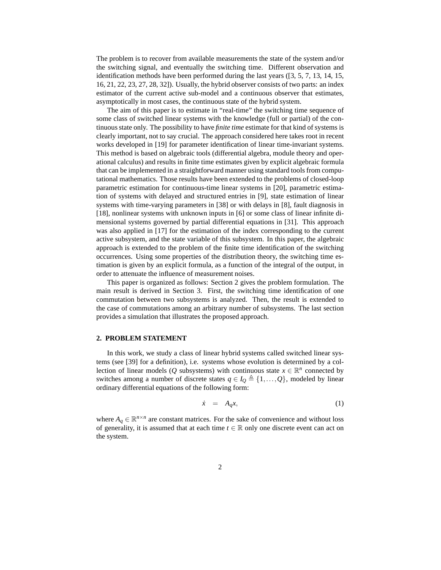The problem is to recover from available measurements the state of the system and/or the switching signal, and eventually the switching time. Different observation and identification methods have been performed during the last years ([3, 5, 7, 13, 14, 15, 16, 21, 22, 23, 27, 28, 32]). Usually, the hybrid observer consists of two parts: an index estimator of the current active sub-model and a continuous observer that estimates, asymptotically in most cases, the continuous state of the hybrid system.

The aim of this paper is to estimate in "real-time" the switching time sequence of some class of switched linear systems with the knowledge (full or partial) of the continuous state only. The possibility to have *finite time* estimate for that kind of systems is clearly important, not to say crucial. The approach considered here takes root in recent works developed in [19] for parameter identification of linear time-invariant systems. This method is based on algebraic tools (differential algebra, module theory and operational calculus) and results in finite time estimates given by explicit algebraic formula that can be implemented in a straightforward manner using standard tools from computational mathematics. Those results have been extended to the problems of closed-loop parametric estimation for continuous-time linear systems in [20], parametric estimation of systems with delayed and structured entries in [9], state estimation of linear systems with time-varying parameters in [38] or with delays in [8], fault diagnosis in [18], nonlinear systems with unknown inputs in [6] or some class of linear infinite dimensional systems governed by partial differential equations in [31]. This approach was also applied in [17] for the estimation of the index corresponding to the current active subsystem, and the state variable of this subsystem. In this paper, the algebraic approach is extended to the problem of the finite time identification of the switching occurrences. Using some properties of the distribution theory, the switching time estimation is given by an explicit formula, as a function of the integral of the output, in order to attenuate the influence of measurement noises.

This paper is organized as follows: Section 2 gives the problem formulation. The main result is derived in Section 3. First, the switching time identification of one commutation between two subsystems is analyzed. Then, the result is extended to the case of commutations among an arbitrary number of subsystems. The last section provides a simulation that illustrates the proposed approach.

#### **2. PROBLEM STATEMENT**

In this work, we study a class of linear hybrid systems called switched linear systems (see [39] for a definition), i.e. systems whose evolution is determined by a collection of linear models (*Q* subsystems) with continuous state  $x \in \mathbb{R}^n$  connected by switches among a number of discrete states  $q \in I_Q \triangleq \{1, \ldots, Q\}$ , modeled by linear ordinary differential equations of the following form:

$$
\dot{x} = A_q x,\tag{1}
$$

where  $A_q \in \mathbb{R}^{n \times n}$  are constant matrices. For the sake of convenience and without loss of generality, it is assumed that at each time  $t \in \mathbb{R}$  only one discrete event can act on the system.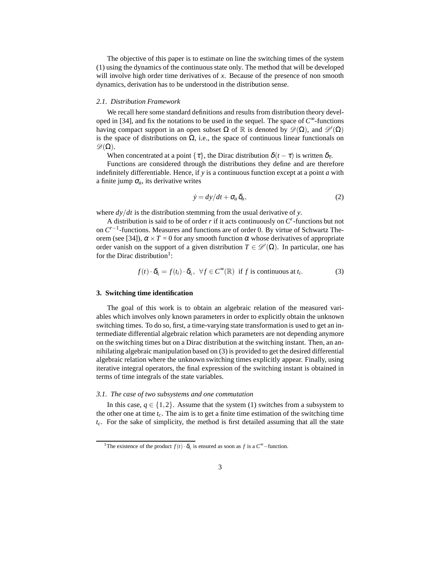The objective of this paper is to estimate on line the switching times of the system (1) using the dynamics of the continuous state only. The method that will be developed will involve high order time derivatives of *x*. Because of the presence of non smooth dynamics, derivation has to be understood in the distribution sense.

#### *2.1. Distribution Framework*

We recall here some standard definitions and results from distribution theory developed in [34], and fix the notations to be used in the sequel. The space of *C* <sup>∞</sup>-functions having compact support in an open subset  $\Omega$  of  $\mathbb R$  is denoted by  $\mathscr D(\Omega)$ , and  $\mathscr D'(\Omega)$ is the space of distributions on  $\Omega$ , i.e., the space of continuous linear functionals on  $\mathscr{D}(\Omega)$ .

When concentrated at a point  $\{\tau\}$ , the Dirac distribution  $\delta(t - \tau)$  is written  $\delta_{\tau}$ .

Functions are considered through the distributions they define and are therefore indefinitely differentiable. Hence, if *y* is a continuous function except at a point *a* with a finite jump  $\sigma_a$ , its derivative writes

$$
\dot{y} = dy/dt + \sigma_a \,\delta_a,\tag{2}
$$

where *dy*/*dt* is the distribution stemming from the usual derivative of *y*.

A distribution is said to be of order *r* if it acts continuously on *C r* -functions but not on *C r*−1 -functions. Measures and functions are of order 0. By virtue of Schwartz Theorem (see [34]),  $\alpha \times T = 0$  for any smooth function  $\alpha$  whose derivatives of appropriate order vanish on the support of a given distribution  $T \in \mathcal{D}'(\Omega)$ . In particular, one has for the Dirac distribution<sup>1</sup>:

$$
f(t) \cdot \delta_{t_i} = f(t_i) \cdot \delta_{t_i}, \ \ \forall f \in C^{\infty}(\mathbb{R}) \ \ \text{if } f \text{ is continuous at } t_i.
$$
 (3)

#### **3. Switching time identification**

The goal of this work is to obtain an algebraic relation of the measured variables which involves only known parameters in order to explicitly obtain the unknown switching times. To do so, first, a time-varying state transformation is used to get an intermediate differential algebraic relation which parameters are not depending anymore on the switching times but on a Dirac distribution at the switching instant. Then, an annihilating algebraic manipulation based on (3) is provided to get the desired differential algebraic relation where the unknown switching times explicitly appear. Finally, using iterative integral operators, the final expression of the switching instant is obtained in terms of time integrals of the state variables.

#### *3.1. The case of two subsystems and one commutation*

In this case,  $q \in \{1,2\}$ . Assume that the system (1) switches from a subsystem to the other one at time *tc*. The aim is to get a finite time estimation of the switching time *tc*. For the sake of simplicity, the method is first detailed assuming that all the state

<sup>&</sup>lt;sup>1</sup>The existence of the product  $f(t) \cdot \delta_{t_i}$  is ensured as soon as *f* is a  $C^{\infty}$ -function.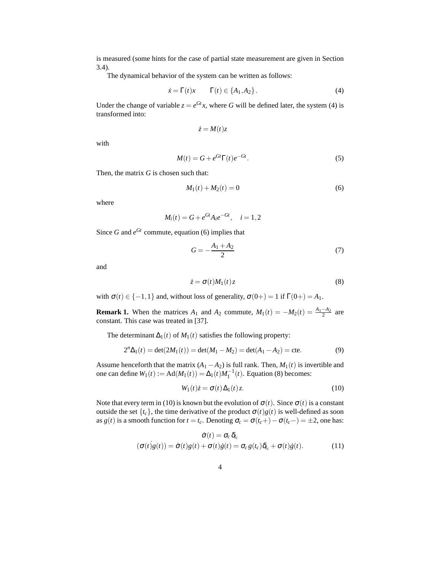is measured (some hints for the case of partial state measurement are given in Section 3.4).

The dynamical behavior of the system can be written as follows:

$$
\dot{x} = \Gamma(t)x \qquad \Gamma(t) \in \{A_1, A_2\}.
$$
\n(4)

Under the change of variable  $z = e^{Gt}x$ , where *G* will be defined later, the system (4) is transformed into:

$$
\dot{z}=M(t)z
$$

with

$$
M(t) = G + e^{Gt} \Gamma(t) e^{-Gt}.
$$
\n<sup>(5)</sup>

Then, the matrix *G* is chosen such that:

$$
M_1(t) + M_2(t) = 0 \tag{6}
$$

where

$$
M_i(t) = G + e^{Gt} A_i e^{-Gt}, \quad i = 1, 2
$$

Since *G* and  $e^{Gt}$  commute, equation (6) implies that

$$
G = -\frac{A_1 + A_2}{2} \tag{7}
$$

and

$$
\dot{z} = \sigma(t)M_1(t)z\tag{8}
$$

with  $\sigma(t) \in \{-1, 1\}$  and, without loss of generality,  $\sigma(0+) = 1$  if  $\Gamma(0+) = A_1$ .

**Remark 1.** When the matrices  $A_1$  and  $A_2$  commute,  $M_1(t) = -M_2(t) = \frac{A_1 - A_2}{2}$  are constant. This case was treated in [37].

The determinant  $\Delta_1(t)$  of  $M_1(t)$  satisfies the following property:

$$
2^{n}\Delta_1(t) = \det(2M_1(t)) = \det(M_1 - M_2) = \det(A_1 - A_2) = \text{cte.}
$$
 (9)

Assume henceforth that the matrix  $(A_1 - A_2)$  is full rank. Then,  $M_1(t)$  is invertible and one can define  $W_1(t) := \text{Ad}(M_1(t)) = \Delta_1(t)M_1^{-1}(t)$ . Equation (8) becomes:

$$
W_1(t)\dot{z} = \sigma(t)\Delta_1(t)z.
$$
\n(10)

Note that every term in (10) is known but the evolution of  $\sigma(t)$ . Since  $\sigma(t)$  is a constant outside the set  $\{t_c\}$ , the time derivative of the product  $\sigma(t)g(t)$  is well-defined as soon as *g*(*t*) is a smooth function for  $t = t_c$ . Denoting  $\sigma_c = \sigma(t_c+) - \sigma(t_c-) = \pm 2$ , one has:

$$
\dot{\sigma}(t) = \sigma_c \, \delta_{t_c}
$$
\n
$$
(\sigma(t)g(t)) = \dot{\sigma}(t)g(t) + \sigma(t)\dot{g}(t) = \sigma_c g(t_c)\delta_{t_c} + \sigma(t)\dot{g}(t). \tag{11}
$$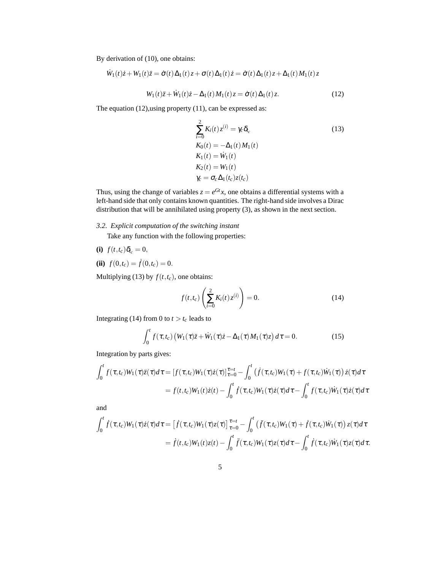By derivation of (10), one obtains:

$$
\dot{W}_1(t)\dot{z} + W_1(t)\ddot{z} = \dot{\sigma}(t)\Delta_1(t)z + \sigma(t)\Delta_1(t)\dot{z} = \dot{\sigma}(t)\Delta_1(t)z + \Delta_1(t)M_1(t)z
$$

$$
W_1(t)\ddot{z} + \dot{W}_1(t)\dot{z} - \Delta_1(t)M_1(t)z = \dot{\sigma}(t)\Delta_1(t)z.
$$
 (12)

The equation (12),using property (11), can be expressed as:

$$
\sum_{i=0}^{2} K_i(t) z^{(i)} = \gamma_c \delta_{t_c}
$$
\n
$$
K_0(t) = -\Delta_1(t) M_1(t)
$$
\n
$$
K_1(t) = \dot{W}_1(t)
$$
\n
$$
K_2(t) = W_1(t)
$$
\n
$$
\gamma_c = \sigma_c \Delta_1(t_c) z(t_c)
$$
\n(13)

Thus, using the change of variables  $z = e^{Gt}x$ , one obtains a differential systems with a left-hand side that only contains known quantities. The right-hand side involves a Dirac distribution that will be annihilated using property (3), as shown in the next section.

*3.2. Explicit computation of the switching instant*

Take any function with the following properties:

$$
(i) f(t,t_c) \delta_{t_c} = 0,
$$

**(ii)**  $f(0,t_c) = \dot{f}(0,t_c) = 0.$ 

Multiplying (13) by  $f(t,t_c)$ , one obtains:

$$
f(t,t_c) \left( \sum_{i=0}^{2} K_i(t) z^{(i)} \right) = 0.
$$
 (14)

Integrating (14) from 0 to  $t > t_c$  leads to

$$
\int_0^t f(\tau, t_c) \left( W_1(\tau) \ddot{z} + \dot{W}_1(\tau) \dot{z} - \Delta_1(\tau) M_1(\tau) z \right) d\tau = 0. \tag{15}
$$

Integration by parts gives:

$$
\int_0^t f(\tau, t_c) W_1(\tau) \ddot{z}(\tau) d\tau = \left[ f(\tau, t_c) W_1(\tau) \dot{z}(\tau) \right]_{\tau=0}^{\tau=t} - \int_0^t \left( \dot{f}(\tau, t_c) W_1(\tau) + f(\tau, t_c) W_1(\tau) \right) \dot{z}(\tau) d\tau
$$

$$
= f(t, t_c) W_1(t) \dot{z}(t) - \int_0^t \dot{f}(\tau, t_c) W_1(\tau) \dot{z}(\tau) d\tau - \int_0^t f(\tau, t_c) W_1(\tau) \dot{z}(\tau) d\tau
$$

and

$$
\int_0^t \dot{f}(\tau,t_c)W_1(\tau)\dot{z}(\tau)d\tau = \left[\dot{f}(\tau,t_c)W_1(\tau)z(\tau)\right]_{\tau=0}^{\tau=t} - \int_0^t \left(\ddot{f}(\tau,t_c)W_1(\tau) + \dot{f}(\tau,t_c)\dot{W}_1(\tau)\right)z(\tau)d\tau
$$

$$
= \dot{f}(t,t_c)W_1(t)z(t) - \int_0^t \ddot{f}(\tau,t_c)W_1(\tau)z(\tau)d\tau - \int_0^t \dot{f}(\tau,t_c)\dot{W}_1(\tau)z(\tau)d\tau.
$$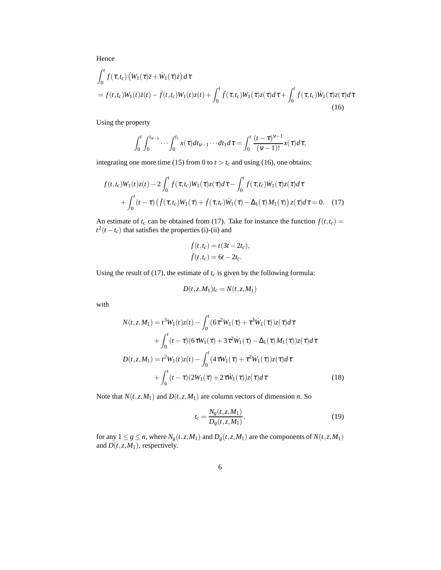Hence

$$
\int_0^t f(\tau, t_c) \left( W_1(\tau) \ddot{z} + \dot{W}_1(\tau) \dot{z} \right) d\tau
$$
\n
$$
= f(t, t_c) W_1(t) \dot{z}(t) - \dot{f}(t, t_c) W_1(t) z(t) + \int_0^t \ddot{f}(\tau, t_c) W_1(\tau) z(\tau) d\tau + \int_0^t \dot{f}(\tau, t_c) \dot{W}_1(\tau) z(\tau) d\tau
$$
\n(16)

Using the property

$$
\int_0^t \int_0^{t_{\nu-1}} \cdots \int_0^{t_1} x(\tau) dt_{\nu-1} \cdots dt_1 d\tau = \int_0^t \frac{(t-\tau)^{\nu-1}}{(\nu-1)!} x(\tau) d\tau,
$$

integrating one more time (15) from 0 to  $t > t_c$  and using (16), one obtains:

$$
f(t,t_c)W_1(t)z(t) - 2\int_0^t \dot{f}(\tau,t_c)W_1(\tau)z(\tau)d\tau - \int_0^t f(\tau,t_c)\dot{W}_1(\tau)z(\tau)d\tau
$$
  
+ 
$$
\int_0^t (t-\tau)\left(\ddot{f}(\tau,t_c)W_1(\tau) + \dot{f}(\tau,t_c)\dot{W}_1(\tau) - \Delta_1(\tau)M_1(\tau)\right)z(\tau)d\tau = 0.
$$
 (17)

An estimate of  $t_c$  can be obtained from (17). Take for instance the function  $f(t,t_c)$  $t^2(t - t_c)$  that satisfies the properties (i)-(ii) and

$$
\dot{f}(t,t_c) = t(3t - 2t_c),
$$
  

$$
\ddot{f}(t,t_c) = 6t - 2t_c.
$$

Using the result of (17), the estimate of  $t_c$  is given by the following formula:

$$
D(t, z, M_1)t_c = N(t, z, M_1)
$$

with

$$
N(t, z, M_1) = t^3 W_1(t) z(t) - \int_0^t (6\tau^2 W_1(\tau) + \tau^3 \dot{W}_1(\tau)) z(\tau) d\tau + \int_0^t (t - \tau) (6\tau W_1(\tau) + 3\tau^2 \dot{W}_1(\tau) - \Delta_1(\tau) M_1(\tau)) z(\tau) d\tau D(t, z, M_1) = t^2 W_1(t) z(t) - \int_0^t (4\tau W_1(\tau) + \tau^2 \dot{W}_1(\tau)) z(\tau) d\tau + \int_0^t (t - \tau) (2W_1(\tau) + 2\tau \dot{W}_1(\tau)) z(\tau) d\tau
$$
(18)

Note that  $N(t, z, M_1)$  and  $D(t, z, M_1)$  are column vectors of dimension *n*. So

$$
t_c = \frac{N_g(t, z, M_1)}{D_g(t, z, M_1)},
$$
\n(19)

for any  $1 \le g \le n$ , where  $N_g(t, z, M_1)$  and  $D_g(t, z, M_1)$  are the components of  $N(t, z, M_1)$ and  $D(t, z, M_1)$ , respectively.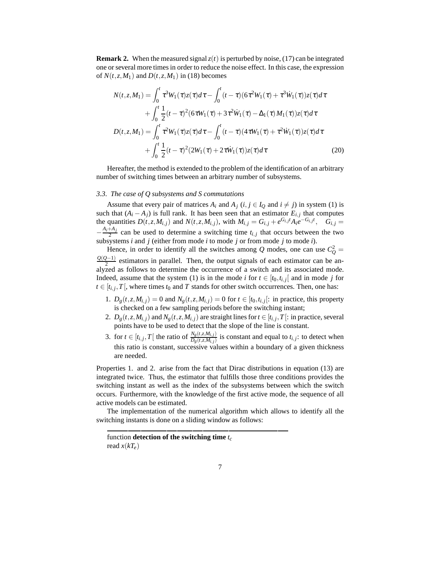**Remark 2.** When the measured signal  $z(t)$  is perturbed by noise, (17) can be integrated one or several more times in order to reduce the noise effect. In this case, the expression of  $N(t, z, M_1)$  and  $D(t, z, M_1)$  in (18) becomes

$$
N(t, z, M_1) = \int_0^t \tau^3 W_1(\tau) z(\tau) d\tau - \int_0^t (t - \tau) (6\tau^2 W_1(\tau) + \tau^3 W_1(\tau)) z(\tau) d\tau + \int_0^t \frac{1}{2} (t - \tau)^2 (6\tau W_1(\tau) + 3\tau^2 W_1(\tau) - \Delta_1(\tau) M_1(\tau)) z(\tau) d\tau D(t, z, M_1) = \int_0^t \tau^2 W_1(\tau) z(\tau) d\tau - \int_0^t (t - \tau) (4\tau W_1(\tau) + \tau^2 W_1(\tau)) z(\tau) d\tau + \int_0^t \frac{1}{2} (t - \tau)^2 (2W_1(\tau) + 2\tau W_1(\tau)) z(\tau) d\tau
$$
(20)

Hereafter, the method is extended to the problem of the identification of an arbitrary number of switching times between an arbitrary number of subsystems.

## *3.3. The case of Q subsystems and S commutations*

Assume that every pair of matrices  $A_i$  and  $A_j$  ( $i, j \in I_Q$  and  $i \neq j$ ) in system (1) is such that  $(A_i - A_j)$  is full rank. It has been seen that an estimator  $E_{i,j}$  that computes the quantities  $D(t, z, M_{i,j})$  and  $N(t, z, M_{i,j})$ , with  $M_{i,j} = G_{i,j} + e^{G_{i,j}t} A_i e^{-G_{i,j}t}$ ,  $G_{i,j} =$  $-\frac{A_i+A_j}{2}$  $\frac{A_{i}}{2}$  can be used to determine a switching time  $t_{i,j}$  that occurs between the two subsystems *i* and *j* (either from mode *i* to mode *j* or from mode *j* to mode *i*).

Hence, in order to identify all the switches among  $Q$  modes, one can use  $C_Q^2 =$ *Q*(*Q*−1)  $\frac{2^{2}-1}{2}$  estimators in parallel. Then, the output signals of each estimator can be analyzed as follows to determine the occurrence of a switch and its associated mode. Indeed, assume that the system (1) is in the mode *i* for  $t \in [t_0, t_{i,j}]$  and in mode *j* for  $t \in [t_{i,j}, T]$ , where times  $t_0$  and *T* stands for other switch occurrences. Then, one has:

- 1.  $D_g(t, z, M_{i,j}) = 0$  and  $N_g(t, z, M_{i,j}) = 0$  for  $t \in [t_0, t_{i,j}]$ : in practice, this property is checked on a few sampling periods before the switching instant;
- 2.  $D_g(t, z, M_{i,j})$  and  $N_g(t, z, M_{i,j})$  are straight lines for  $t \in [t_{i,j}, T[$ : in practice, several points have to be used to detect that the slope of the line is constant.
- 3. for  $t \in [t_{i,j}, T]$  the ratio of  $\frac{N_g(t, z, M_{i,j})}{D_g(t, z, M_{i,j})}$  is constant and equal to  $t_{i,j}$ : to detect when this ratio is constant, successive values within a boundary of a given thickness are needed.

Properties 1. and 2. arise from the fact that Dirac distributions in equation (13) are integrated twice. Thus, the estimator that fulfills those three conditions provides the switching instant as well as the index of the subsystems between which the switch occurs. Furthermore, with the knowledge of the first active mode, the sequence of all active models can be estimated.

The implementation of the numerical algorithm which allows to identify all the switching instants is done on a sliding window as follows:

function **detection of the switching time** *t<sup>c</sup>* read  $x(kT_e)$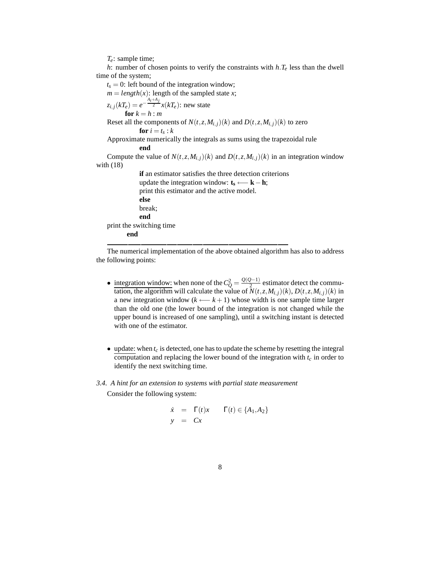*Te*: sample time;

*h*: number of chosen points to verify the constraints with *h*.*T<sup>e</sup>* less than the dwell time of the system;

 $t_s = 0$ : left bound of the integration window;

 $m = length(x)$ : length of the sampled state *x*;

$$
z_{i,j}(kT_e) = e^{-\frac{A_i + A_j}{2}} x(kT_e): \text{ new state}
$$
  
for  $k = h : m$ 

Reset all the components of  $N(t, z, M_{i,j})(k)$  and  $D(t, z, M_{i,j})(k)$  to zero

$$
for i = t_s : k
$$

Approximate numerically the integrals as sums using the trapezoidal rule **end**

Compute the value of  $N(t, z, M_{i,j})(k)$  and  $D(t, z, M_{i,j})(k)$  in an integration window with (18)

**if** an estimator satisfies the three detection criterions update the integration window:  $\mathbf{t}_s \longleftarrow \mathbf{k} - \mathbf{h}$ ; print this estimator and the active model. **else** break; **end** print the switching time **end**

The numerical implementation of the above obtained algorithm has also to address the following points:

- integration window: when none of the  $C_Q^2 = \frac{Q(Q-1)}{2}$  $\frac{2^{2}-1}{2}$  estimator detect the commutation, the algorithm will calculate the value of  $N(t, z, M_{i,j})(k)$ ,  $D(t, z, M_{i,j})(k)$  in a new integration window ( $k \leftarrow k+1$ ) whose width is one sample time larger than the old one (the lower bound of the integration is not changed while the upper bound is increased of one sampling), until a switching instant is detected with one of the estimator.
- update: when  $t_c$  is detected, one has to update the scheme by resetting the integral computation and replacing the lower bound of the integration with *t<sup>c</sup>* in order to identify the next switching time.

#### *3.4. A hint for an extension to systems with partial state measurement*

Consider the following system:

$$
\dot{x} = \Gamma(t)x \qquad \Gamma(t) \in \{A_1, A_2\}
$$
  

$$
y = Cx
$$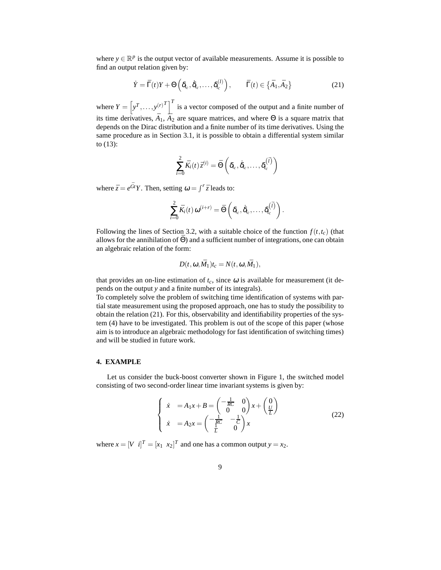where  $y \in \mathbb{R}^p$  is the output vector of available measurements. Assume it is possible to find an output relation given by:

$$
\dot{Y} = \bar{\Gamma}(t)Y + \Theta\left(\delta_{t_c}, \dot{\delta}_{t_c}, \dots, \delta_{t_c}^{(l)}\right), \qquad \bar{\Gamma}(t) \in \left\{\bar{A}_1, \bar{A}_2\right\} \tag{21}
$$

where  $Y = \left[ y^T, \ldots, y^{(r)} \right]^T$  is a vector composed of the output and a finite number of its time derivatives,  $\bar{A}_1$ ,  $\bar{A}_2$  are square matrices, and where  $\Theta$  is a square matrix that depends on the Dirac distribution and a finite number of its time derivatives. Using the same procedure as in Section 3.1, it is possible to obtain a differential system similar to (13):

$$
\sum_{i=0}^{2} \bar{K}_i(t) \bar{z}^{(i)} = \bar{\Theta} \left( \delta_{t_c}, \dot{\delta}_{t_c}, \dots, \delta_{t_c}^{(\bar{l})} \right)
$$

where  $\bar{z} = e^{\bar{G}t} Y$ . Then, setting  $\omega = \int^r \bar{z}$  leads to:

$$
\sum_{i=0}^2 \bar{K}_i(t) \,\omega^{(i+r)} = \bar{\Theta}\left(\delta_{t_c}, \dot{\delta}_{t_c}, \ldots, \delta_{t_c}^{(\bar{I})}\right).
$$

Following the lines of Section 3.2, with a suitable choice of the function  $f(t, t_c)$  (that allows for the annihilation of  $\bar{\Theta}$ ) and a sufficient number of integrations, one can obtain an algebraic relation of the form:

$$
D(t, \omega, \bar{M}_1)t_c = N(t, \omega, \bar{M}_1),
$$

that provides an on-line estimation of  $t_c$ , since  $\omega$  is available for measurement (it depends on the output *y* and a finite number of its integrals).

To completely solve the problem of switching time identification of systems with partial state measurement using the proposed approach, one has to study the possibility to obtain the relation (21). For this, observability and identifiability properties of the system (4) have to be investigated. This problem is out of the scope of this paper (whose aim is to introduce an algebraic methodology for fast identification of switching times) and will be studied in future work.

### **4. EXAMPLE**

Let us consider the buck-boost converter shown in Figure 1, the switched model consisting of two second-order linear time invariant systems is given by:

$$
\begin{cases}\n\dot{x} = A_1 x + B = \begin{pmatrix} -\frac{1}{RC} & 0\\ 0 & 0 \end{pmatrix} x + \begin{pmatrix} 0\\ \frac{U}{L} \end{pmatrix} \\
\dot{x} = A_2 x = \begin{pmatrix} -\frac{1}{RC} & -\frac{1}{C} \\ \frac{1}{L} & 0 \end{pmatrix} x\n\end{cases}
$$
\n(22)

where  $x = [V \ i]^T = [x_1 \ x_2]^T$  and one has a common output  $y = x_2$ .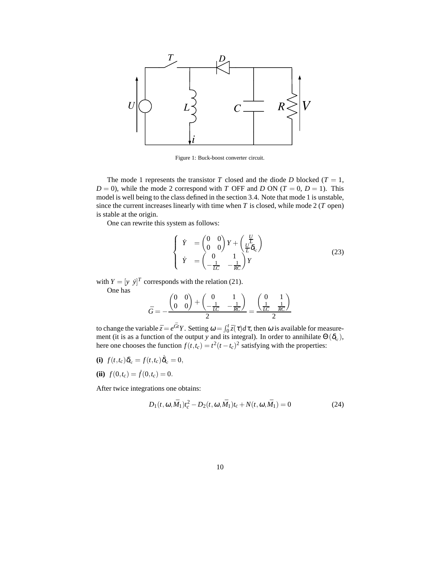

Figure 1: Buck-boost converter circuit.

The mode 1 represents the transistor  $T$  closed and the diode  $D$  blocked ( $T = 1$ ,  $D = 0$ , while the mode 2 correspond with *T* OFF and *D* ON (*T* = 0, *D* = 1). This model is well being to the class defined in the section 3.4. Note that mode 1 is unstable, since the current increases linearly with time when *T* is closed, while mode 2 (*T* open) is stable at the origin.

One can rewrite this system as follows:

$$
\begin{cases}\n\dot{Y} = \begin{pmatrix} 0 & 0 \\ 0 & 0 \end{pmatrix} Y + \begin{pmatrix} \frac{U}{L} \\ \frac{U}{L} \delta_{l_c} \end{pmatrix} \\
\dot{Y} = \begin{pmatrix} 0 & 1 \\ -\frac{1}{LC} & -\frac{1}{RC} \end{pmatrix} Y\n\end{cases}
$$
\n(23)

 $\setminus$ 

with  $Y = [y \; \dot{y}]^T$  corresponds with the relation (21). One has

$$
\bar{G} = -\frac{\begin{pmatrix} 0 & 0 \\ 0 & 0 \end{pmatrix} + \begin{pmatrix} 0 & 1 \\ -\frac{1}{LC} & -\frac{1}{RC} \end{pmatrix}}{2} = \frac{\begin{pmatrix} 0 & 1 \\ \frac{1}{LC} & \frac{1}{RC} \end{pmatrix}}{2}
$$

to change the variable  $\bar{z} = e^{\bar{G}t}Y$ . Setting  $\omega = \int_0^t \bar{z}(\tau) d\tau$ , then  $\omega$  is available for measurement (it is as a function of the output *y* and its integral). In order to annihilate  $\Theta(\delta_{t_c})$ , here one chooses the function  $f(t,t_c) = t^2(t-t_c)^2$  satisfying with the properties:

- **(i)**  $f(t,t_c)\delta_{t_c} = f(t,t_c)\dot{\delta}_{t_c} = 0,$
- **(ii)**  $f(0,t_c) = \dot{f}(0,t_c) = 0.$

After twice integrations one obtains:

$$
D_1(t, \omega, \bar{M}_1)t_c^2 - D_2(t, \omega, \bar{M}_1)t_c + N(t, \omega, \bar{M}_1) = 0
$$
\n(24)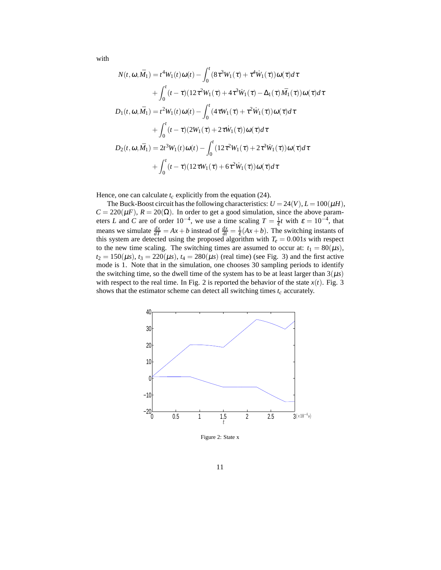with

$$
N(t, \omega, \bar{M}_1) = t^4 W_1(t) \omega(t) - \int_0^t (8\tau^3 W_1(\tau) + \tau^4 \dot{W}_1(\tau)) \omega(\tau) d\tau + \int_0^t (t - \tau)(12\tau^2 W_1(\tau) + 4\tau^3 \dot{W}_1(\tau) - \Delta_1(\tau) \bar{M}_1(\tau)) \omega(\tau) d\tau D_1(t, \omega, \bar{M}_1) = t^2 W_1(t) \omega(t) - \int_0^t (4\tau W_1(\tau) + \tau^2 \dot{W}_1(\tau)) \omega(\tau) d\tau + \int_0^t (t - \tau)(2W_1(\tau) + 2\tau \dot{W}_1(\tau)) \omega(\tau) d\tau D_2(t, \omega, \bar{M}_1) = 2t^3 W_1(t) \omega(t) - \int_0^t (12\tau^2 W_1(\tau) + 2\tau^3 \dot{W}_1(\tau)) \omega(\tau) d\tau + \int_0^t (t - \tau)(12\tau W_1(\tau) + 6\tau^2 \dot{W}_1(\tau)) \omega(\tau) d\tau
$$

Hence, one can calculate  $t_c$  explicitly from the equation (24).

The Buck-Boost circuit has the following characteristics:  $U = 24(V)$ ,  $L = 100(\mu H)$ ,  $C = 220(\mu F)$ ,  $R = 20(\Omega)$ . In order to get a good simulation, since the above parameters *L* and *C* are of order  $10^{-4}$ , we use a time scaling  $T = \frac{1}{\varepsilon}t$  with  $\varepsilon = 10^{-4}$ , that means we simulate  $\frac{dx}{dT} = Ax + b$  instead of  $\frac{dx}{dt} = \frac{1}{\varepsilon}(Ax + b)$ . The switching instants of this system are detected using the proposed algorithm with  $T_e = 0.001s$  with respect to the new time scaling. The switching times are assumed to occur at:  $t_1 = 80(\mu s)$ ,  $t_2 = 150(\mu s)$ ,  $t_3 = 220(\mu s)$ ,  $t_4 = 280(\mu s)$  (real time) (see Fig. 3) and the first active mode is 1. Note that in the simulation, one chooses 30 sampling periods to identify the switching time, so the dwell time of the system has to be at least larger than  $3(\mu s)$ with respect to the real time. In Fig. 2 is reported the behavior of the state  $x(t)$ . Fig. 3 shows that the estimator scheme can detect all switching times *t<sup>c</sup>* accurately.



Figure 2: State x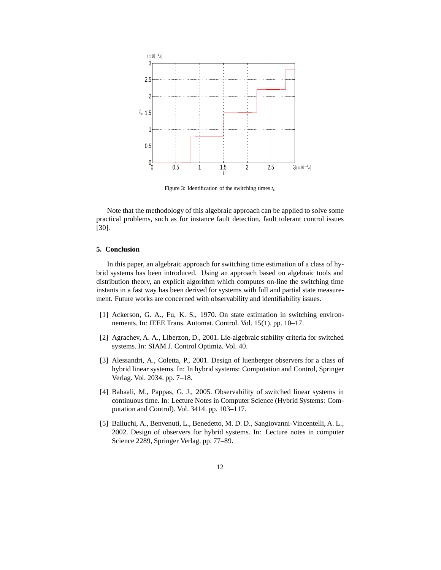

Figure 3: Identification of the switching times *t<sup>c</sup>*

Note that the methodology of this algebraic approach can be applied to solve some practical problems, such as for instance fault detection, fault tolerant control issues [30].

### **5. Conclusion**

In this paper, an algebraic approach for switching time estimation of a class of hybrid systems has been introduced. Using an approach based on algebraic tools and distribution theory, an explicit algorithm which computes on-line the switching time instants in a fast way has been derived for systems with full and partial state measurement. Future works are concerned with observability and identifiability issues.

- [1] Ackerson, G. A., Fu, K. S., 1970. On state estimation in switching environnements. In: IEEE Trans. Automat. Control. Vol. 15(1). pp. 10–17.
- [2] Agrachev, A. A., Liberzon, D., 2001. Lie-algebraic stability criteria for switched systems. In: SIAM J. Control Optimiz. Vol. 40.
- [3] Alessandri, A., Coletta, P., 2001. Design of luenberger observers for a class of hybrid linear systems. In: In hybrid systems: Computation and Control, Springer Verlag. Vol. 2034. pp. 7–18.
- [4] Babaali, M., Pappas, G. J., 2005. Observability of switched linear systems in continuous time. In: Lecture Notes in Computer Science (Hybrid Systems: Computation and Control). Vol. 3414. pp. 103–117.
- [5] Balluchi, A., Benvenuti, L., Benedetto, M. D. D., Sangiovanni-Vincentelli, A. L., 2002. Design of observers for hybrid systems. In: Lecture notes in computer Science 2289, Springer Verlag. pp. 77–89.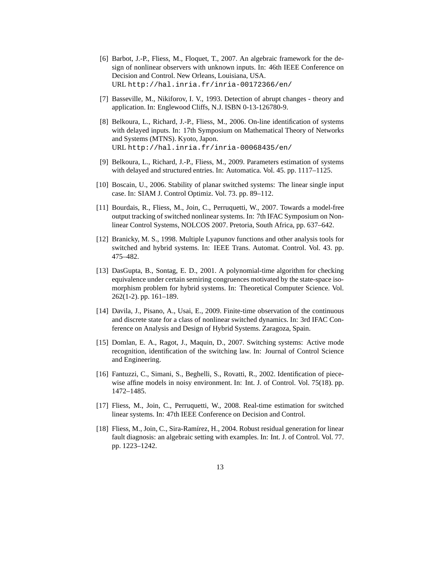- [6] Barbot, J.-P., Fliess, M., Floquet, T., 2007. An algebraic framework for the design of nonlinear observers with unknown inputs. In: 46th IEEE Conference on Decision and Control. New Orleans, Louisiana, USA. URL http://hal.inria.fr/inria-00172366/en/
- [7] Basseville, M., Nikiforov, I. V., 1993. Detection of abrupt changes theory and application. In: Englewood Cliffs, N.J. ISBN 0-13-126780-9.
- [8] Belkoura, L., Richard, J.-P., Fliess, M., 2006. On-line identification of systems with delayed inputs. In: 17th Symposium on Mathematical Theory of Networks and Systems (MTNS). Kyoto, Japon. URL http://hal.inria.fr/inria-00068435/en/
- [9] Belkoura, L., Richard, J.-P., Fliess, M., 2009. Parameters estimation of systems with delayed and structured entries. In: Automatica. Vol. 45. pp. 1117–1125.
- [10] Boscain, U., 2006. Stability of planar switched systems: The linear single input case. In: SIAM J. Control Optimiz. Vol. 73. pp. 89–112.
- [11] Bourdais, R., Fliess, M., Join, C., Perruquetti, W., 2007. Towards a model-free output tracking of switched nonlinear systems. In: 7th IFAC Symposium on Nonlinear Control Systems, NOLCOS 2007. Pretoria, South Africa, pp. 637–642.
- [12] Branicky, M. S., 1998. Multiple Lyapunov functions and other analysis tools for switched and hybrid systems. In: IEEE Trans. Automat. Control. Vol. 43. pp. 475–482.
- [13] DasGupta, B., Sontag, E. D., 2001. A polynomial-time algorithm for checking equivalence under certain semiring congruences motivated by the state-space isomorphism problem for hybrid systems. In: Theoretical Computer Science. Vol. 262(1-2). pp. 161–189.
- [14] Davila, J., Pisano, A., Usai, E., 2009. Finite-time observation of the continuous and discrete state for a class of nonlinear switched dynamics. In: 3rd IFAC Conference on Analysis and Design of Hybrid Systems. Zaragoza, Spain.
- [15] Domlan, E. A., Ragot, J., Maquin, D., 2007. Switching systems: Active mode recognition, identification of the switching law. In: Journal of Control Science and Engineering.
- [16] Fantuzzi, C., Simani, S., Beghelli, S., Rovatti, R., 2002. Identification of piecewise affine models in noisy environment. In: Int. J. of Control. Vol. 75(18). pp. 1472–1485.
- [17] Fliess, M., Join, C., Perruquetti, W., 2008. Real-time estimation for switched linear systems. In: 47th IEEE Conference on Decision and Control.
- [18] Fliess, M., Join, C., Sira-Ramírez, H., 2004. Robust residual generation for linear fault diagnosis: an algebraic setting with examples. In: Int. J. of Control. Vol. 77. pp. 1223–1242.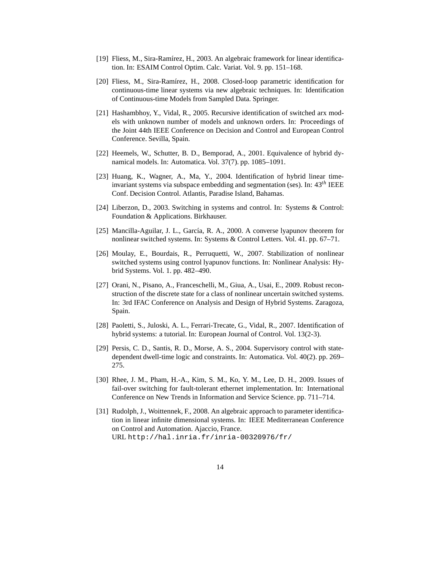- [19] Fliess, M., Sira-Ramírez, H., 2003. An algebraic framework for linear identification. In: ESAIM Control Optim. Calc. Variat. Vol. 9. pp. 151–168.
- [20] Fliess, M., Sira-Ramírez, H., 2008. Closed-loop parametric identification for continuous-time linear systems via new algebraic techniques. In: Identification of Continuous-time Models from Sampled Data. Springer.
- [21] Hashambhoy, Y., Vidal, R., 2005. Recursive identification of switched arx models with unknown number of models and unknown orders. In: Proceedings of the Joint 44th IEEE Conference on Decision and Control and European Control Conference. Sevilla, Spain.
- [22] Heemels, W., Schutter, B. D., Bemporad, A., 2001. Equivalence of hybrid dynamical models. In: Automatica. Vol. 37(7). pp. 1085–1091.
- [23] Huang, K., Wagner, A., Ma, Y., 2004. Identification of hybrid linear timeinvariant systems via subspace embedding and segmentation (ses). In: 43*th* IEEE Conf. Decision Control. Atlantis, Paradise Island, Bahamas.
- [24] Liberzon, D., 2003. Switching in systems and control. In: Systems & Control: Foundation & Applications. Birkhauser.
- [25] Mancilla-Aguilar, J. L., García, R. A., 2000. A converse lyapunov theorem for nonlinear switched systems. In: Systems & Control Letters. Vol. 41. pp. 67–71.
- [26] Moulay, E., Bourdais, R., Perruquetti, W., 2007. Stabilization of nonlinear switched systems using control lyapunov functions. In: Nonlinear Analysis: Hybrid Systems. Vol. 1. pp. 482–490.
- [27] Orani, N., Pisano, A., Franceschelli, M., Giua, A., Usai, E., 2009. Robust reconstruction of the discrete state for a class of nonlinear uncertain switched systems. In: 3rd IFAC Conference on Analysis and Design of Hybrid Systems. Zaragoza, Spain.
- [28] Paoletti, S., Juloski, A. L., Ferrari-Trecate, G., Vidal, R., 2007. Identification of hybrid systems: a tutorial. In: European Journal of Control. Vol. 13(2-3).
- [29] Persis, C. D., Santis, R. D., Morse, A. S., 2004. Supervisory control with statedependent dwell-time logic and constraints. In: Automatica. Vol. 40(2). pp. 269– 275.
- [30] Rhee, J. M., Pham, H.-A., Kim, S. M., Ko, Y. M., Lee, D. H., 2009. Issues of fail-over switching for fault-tolerant ethernet implementation. In: International Conference on New Trends in Information and Service Science. pp. 711–714.
- [31] Rudolph, J., Woittennek, F., 2008. An algebraic approach to parameter identification in linear infinite dimensional systems. In: IEEE Mediterranean Conference on Control and Automation. Ajaccio, France. URL http://hal.inria.fr/inria-00320976/fr/